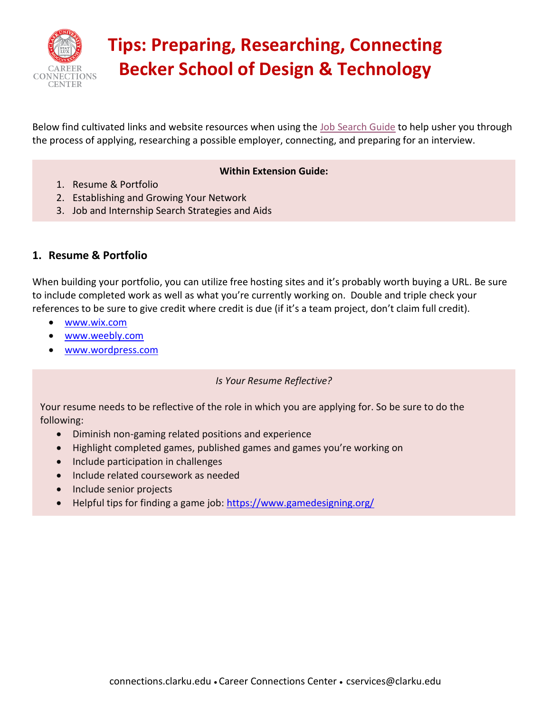

# **Tips: Preparing, Researching, Connecting Becker School of Design & Technology**

Below find cultivated links and website resources when using the [Job Search Guide](https://www.clarku.edu/offices/career-connections-center/wp-content/blogs.dir/3/files/sites/74/2021/12/BSDT_JobSearchGuide.pdf) to help usher you through the process of applying, researching a possible employer, connecting, and preparing for an interview.

#### **Within Extension Guide:**

- 1. Resume & Portfolio
- 2. Establishing and Growing Your Network
- 3. Job and Internship Search Strategies and Aids

#### **1. Resume & Portfolio**

When building your portfolio, you can utilize free hosting sites and it's probably worth buying a URL. Be sure to include completed work as well as what you're currently working on. Double and triple check your references to be sure to give credit where credit is due (if it's a team project, don't claim full credit).

- [www.wix.com](http://www.wix.com/)
- [www.weebly.com](http://www.weebly.com/)
- [www.wordpress.com](http://www.wordpress.com/)

#### *Is Your Resume Reflective?*

Your resume needs to be reflective of the role in which you are applying for. So be sure to do the following:

- Diminish non-gaming related positions and experience
- Highlight completed games, published games and games you're working on
- Include participation in challenges
- Include related coursework as needed
- Include senior projects
- Helpful tips for finding a game job:<https://www.gamedesigning.org/>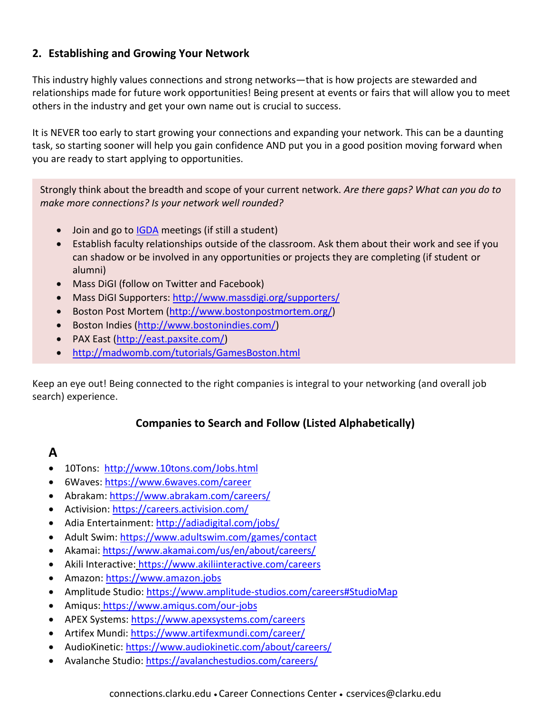#### **2. Establishing and Growing Your Network**

This industry highly values connections and strong networks—that is how projects are stewarded and relationships made for future work opportunities! Being present at events or fairs that will allow you to meet others in the industry and get your own name out is crucial to success.

It is NEVER too early to start growing your connections and expanding your network. This can be a daunting task, so starting sooner will help you gain confidence AND put you in a good position moving forward when you are ready to start applying to opportunities.

Strongly think about the breadth and scope of your current network. *Are there gaps? What can you do to make more connections? Is your network well rounded?* 

- Join and go to **IGDA** meetings (if still a student)
- Establish faculty relationships outside of the classroom. Ask them about their work and see if you can shadow or be involved in any opportunities or projects they are completing (if student or alumni)
- Mass DiGI (follow on Twitter and Facebook)
- Mass DiGI Supporters:<http://www.massdigi.org/supporters/>
- Boston Post Mortem [\(http://www.bostonpostmortem.org/\)](http://www.bostonpostmortem.org/)
- Boston Indies [\(http://www.bostonindies.com/\)](http://www.bostonindies.com/)
- PAX East [\(http://east.paxsite.com/\)](http://east.paxsite.com/)
- <http://madwomb.com/tutorials/GamesBoston.html>

Keep an eye out! Being connected to the right companies is integral to your networking (and overall job search) experience.

#### **Companies to Search and Follow (Listed Alphabetically)**

# **A**

- 10Tons: <http://www.10tons.com/Jobs.html>
- 6Waves:<https://www.6waves.com/career>
- Abrakam:<https://www.abrakam.com/careers/>
- Activision:<https://careers.activision.com/>
- Adia Entertainment:<http://adiadigital.com/jobs/>
- Adult Swim:<https://www.adultswim.com/games/contact>
- Akamai:<https://www.akamai.com/us/en/about/careers/>
- Akili Interactive: <https://www.akiliinteractive.com/careers>
- Amazon: [https://www.amazon.jobs](https://www.amazon.jobs/)
- Amplitude Studio: [https://www.amplitude-studios.com/careers#StudioMap](https://www.amplitude-studios.com/careers%23StudioMap)
- Amiqus: <https://www.amiqus.com/our-jobs>
- APEX Systems:<https://www.apexsystems.com/careers>
- Artifex Mundi:<https://www.artifexmundi.com/career/>
- AudioKinetic:<https://www.audiokinetic.com/about/careers/>
- Avalanche Studio:<https://avalanchestudios.com/careers/>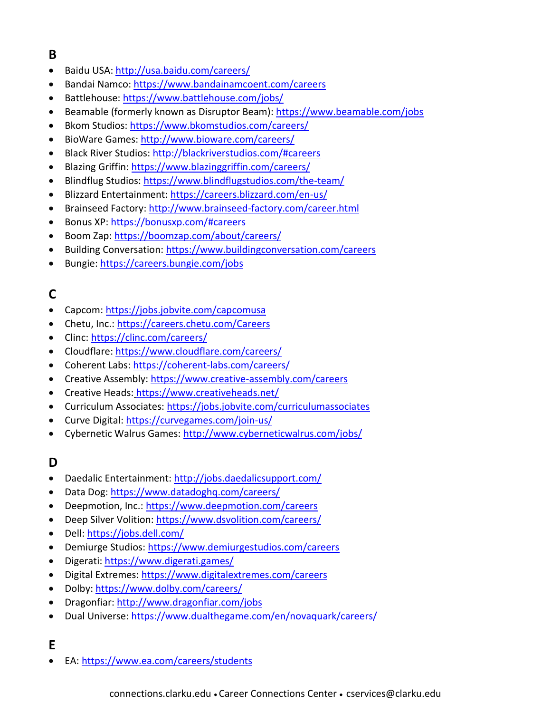## **B**

- Baidu USA:<http://usa.baidu.com/careers/>
- Bandai Namco:<https://www.bandainamcoent.com/careers>
- Battlehouse:<https://www.battlehouse.com/jobs/>
- Beamable (formerly known as Disruptor Beam):<https://www.beamable.com/jobs>
- Bkom Studios:<https://www.bkomstudios.com/careers/>
- BioWare Games:<http://www.bioware.com/careers/>
- Black River Studios:<http://blackriverstudios.com/#careers>
- Blazing Griffin:<https://www.blazinggriffin.com/careers/>
- Blindflug Studios:<https://www.blindflugstudios.com/the-team/>
- Blizzard Entertainment:<https://careers.blizzard.com/en-us/>
- Brainseed Factory:<http://www.brainseed-factory.com/career.html>
- Bonus XP:<https://bonusxp.com/#careers>
- Boom Zap:<https://boomzap.com/about/careers/>
- Building Conversation:<https://www.buildingconversation.com/careers>
- Bungie:<https://careers.bungie.com/jobs>

### **C**

- Capcom:<https://jobs.jobvite.com/capcomusa>
- Chetu, Inc.:<https://careers.chetu.com/Careers>
- Clinc:<https://clinc.com/careers/>
- Cloudflare:<https://www.cloudflare.com/careers/>
- Coherent Labs:<https://coherent-labs.com/careers/>
- Creative Assembly:<https://www.creative-assembly.com/careers>
- Creative Heads: <https://www.creativeheads.net/>
- Curriculum Associates:<https://jobs.jobvite.com/curriculumassociates>
- Curve Digital:<https://curvegames.com/join-us/>
- Cybernetic Walrus Games:<http://www.cyberneticwalrus.com/jobs/>

### **D**

- Daedalic Entertainment:<http://jobs.daedalicsupport.com/>
- Data Dog:<https://www.datadoghq.com/careers/>
- Deepmotion, Inc.:<https://www.deepmotion.com/careers>
- Deep Silver Volition:<https://www.dsvolition.com/careers/>
- Dell:<https://jobs.dell.com/>
- Demiurge Studios:<https://www.demiurgestudios.com/careers>
- Digerati:<https://www.digerati.games/>
- Digital Extremes:<https://www.digitalextremes.com/careers>
- Dolby:<https://www.dolby.com/careers/>
- Dragonfiar:<http://www.dragonfiar.com/jobs>
- Dual Universe:<https://www.dualthegame.com/en/novaquark/careers/>

### **E**

• EA[: https://www.ea.com/careers/students](https://www.ea.com/careers/students)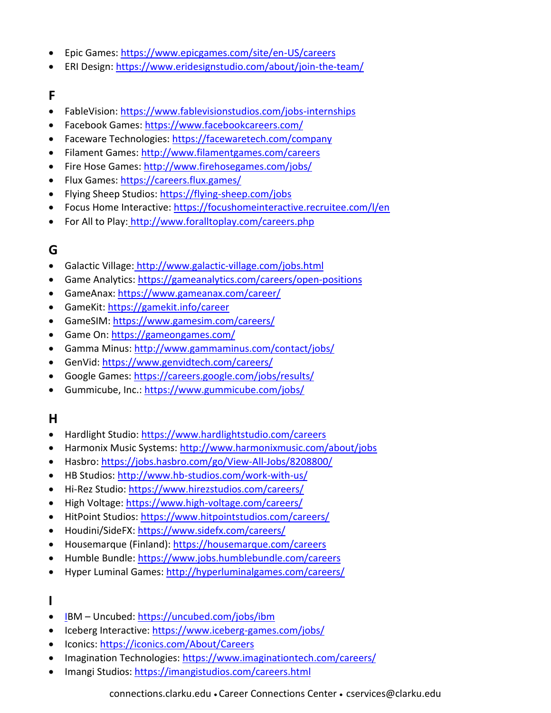- Epic Games:<https://www.epicgames.com/site/en-US/careers>
- ERI Design:<https://www.eridesignstudio.com/about/join-the-team/>

#### **F**

- FableVision: <https://www.fablevisionstudios.com/jobs-internships>
- Facebook Games: <https://www.facebookcareers.com/>
- Faceware Technologies:<https://facewaretech.com/company>
- Filament Games:<http://www.filamentgames.com/careers>
- Fire Hose Games:<http://www.firehosegames.com/jobs/>
- Flux Games:<https://careers.flux.games/>
- Flying Sheep Studios[: https://flying-sheep.com/jobs](https://flying-sheep.com/jobs)
- Focus Home Interactive: https://focushomeinteractive.recruitee.com/I/en
- For All to Play: <http://www.foralltoplay.com/careers.php>

### **G**

- Galactic Village: <http://www.galactic-village.com/jobs.html>
- Game Analytics:<https://gameanalytics.com/careers/open-positions>
- GameAnax:<https://www.gameanax.com/career/>
- GameKit:<https://gamekit.info/career>
- GameSIM:<https://www.gamesim.com/careers/>
- Game On:<https://gameongames.com/>
- Gamma Minus:<http://www.gammaminus.com/contact/jobs/>
- GenVid:<https://www.genvidtech.com/careers/>
- Google Games:<https://careers.google.com/jobs/results/>
- Gummicube, Inc.:<https://www.gummicube.com/jobs/>

### **H**

- Hardlight Studio:<https://www.hardlightstudio.com/careers>
- Harmonix Music Systems:<http://www.harmonixmusic.com/about/jobs>
- Hasbro[: https://jobs.hasbro.com/go/View-All-Jobs/8208800/](https://jobs.hasbro.com/go/View-All-Jobs/8208800/)
- HB Studios:<http://www.hb-studios.com/work-with-us/>
- Hi-Rez Studio:<https://www.hirezstudios.com/careers/>
- High Voltage:<https://www.high-voltage.com/careers/>
- HitPoint Studios:<https://www.hitpointstudios.com/careers/>
- Houdini/SideFX:<https://www.sidefx.com/careers/>
- Housemarque (Finland):<https://housemarque.com/careers>
- Humble Bundle:<https://www.jobs.humblebundle.com/careers>
- Hyper Luminal Games:<http://hyperluminalgames.com/careers/>

#### **I**

- IBM Uncubed:<https://uncubed.com/jobs/ibm>
- Iceberg Interactive:<https://www.iceberg-games.com/jobs/>
- Iconics:<https://iconics.com/About/Careers>
- Imagination Technologies:<https://www.imaginationtech.com/careers/>
- Imangi Studios:<https://imangistudios.com/careers.html>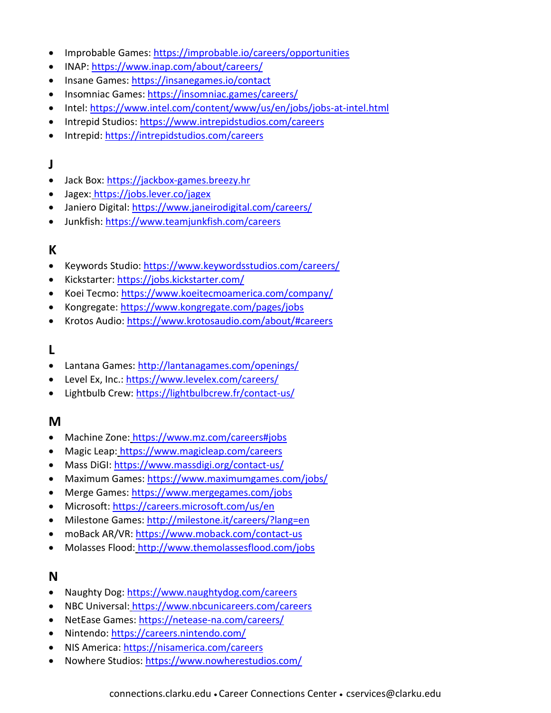- Improbable Games[: https://improbable.io/careers/opportunities](https://improbable.io/careers/opportunities)
- INAP:<https://www.inap.com/about/careers/>
- Insane Games:<https://insanegames.io/contact>
- Insomniac Games:<https://insomniac.games/careers/>
- Intel:<https://www.intel.com/content/www/us/en/jobs/jobs-at-intel.html>
- Intrepid Studios:<https://www.intrepidstudios.com/careers>
- Intrepid:<https://intrepidstudios.com/careers>

#### **J**

- Jack Box: [https://jackbox-games.breezy.hr](https://jackbox-games.breezy.hr/)
- Jagex: <https://jobs.lever.co/jagex>
- Janiero Digital:<https://www.janeirodigital.com/careers/>
- Junkfish:<https://www.teamjunkfish.com/careers>

#### **K**

- Keywords Studio:<https://www.keywordsstudios.com/careers/>
- Kickstarter:<https://jobs.kickstarter.com/>
- Koei Tecmo[: https://www.koeitecmoamerica.com/company/](https://www.koeitecmoamerica.com/company/)
- Kongregate:<https://www.kongregate.com/pages/jobs>
- Krotos Audio:<https://www.krotosaudio.com/about/#careers>

#### **L**

- Lantana Games:<http://lantanagames.com/openings/>
- Level Ex, Inc.:<https://www.levelex.com/careers/>
- Lightbulb Crew:<https://lightbulbcrew.fr/contact-us/>

#### **M**

- Machine Zone: <https://www.mz.com/careers#jobs>
- Magic Leap: <https://www.magicleap.com/careers>
- Mass DiGI: <https://www.massdigi.org/contact-us/>
- Maximum Games:<https://www.maximumgames.com/jobs/>
- Merge Games:<https://www.mergegames.com/jobs>
- Microsoft:<https://careers.microsoft.com/us/en>
- Milestone Games:<http://milestone.it/careers/?lang=en>
- moBack AR/VR:<https://www.moback.com/contact-us>
- Molasses Flood: <http://www.themolassesflood.com/jobs>

#### **N**

- Naughty Dog:<https://www.naughtydog.com/careers>
- NBC Universal: <https://www.nbcunicareers.com/careers>
- NetEase Games:<https://netease-na.com/careers/>
- Nintendo[: https://careers.nintendo.com/](https://careers.nintendo.com/)
- NIS America:<https://nisamerica.com/careers>
- Nowhere Studios:<https://www.nowherestudios.com/>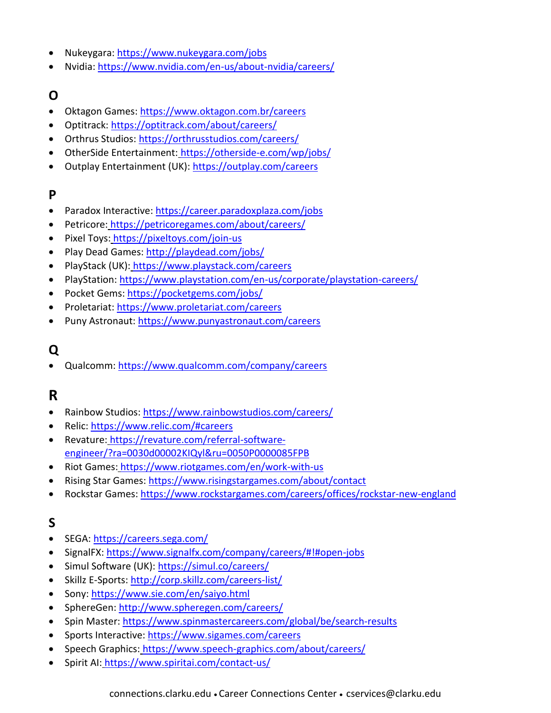- Nukeygara:<https://www.nukeygara.com/jobs>
- Nvidia[: https://www.nvidia.com/en-us/about-nvidia/careers/](https://www.nvidia.com/en-us/about-nvidia/careers/)

### **O**

- Oktagon Games[: https://www.oktagon.com.br/careers](https://www.oktagon.com.br/careers)
- Optitrack:<https://optitrack.com/about/careers/>
- Orthrus Studios:<https://orthrusstudios.com/careers/>
- OtherSide Entertainment: <https://otherside-e.com/wp/jobs/>
- Outplay Entertainment (UK):<https://outplay.com/careers>

#### **P**

- Paradox Interactive:<https://career.paradoxplaza.com/jobs>
- Petricore: <https://petricoregames.com/about/careers/>
- Pixel Toys: <https://pixeltoys.com/join-us>
- Play Dead Games:<http://playdead.com/jobs/>
- PlayStack (UK): <https://www.playstack.com/careers>
- PlayStation[: https://www.playstation.com/en-us/corporate/playstation-careers/](https://www.playstation.com/en-us/corporate/playstation-careers/)
- Pocket Gems:<https://pocketgems.com/jobs/>
- Proletariat:<https://www.proletariat.com/careers>
- Puny Astronaut:<https://www.punyastronaut.com/careers>

# **Q**

• Qualcomm:<https://www.qualcomm.com/company/careers>

# **R**

- Rainbow Studios:<https://www.rainbowstudios.com/careers/>
- Relic:<https://www.relic.com/#careers>
- Revature: [https://revature.com/referral-software](https://revature.com/referral-software-engineer/?ra=0030d00002KIQyl&ru=0050P0000085FPB)[engineer/?ra=0030d00002KIQyl&ru=0050P0000085FPB](https://revature.com/referral-software-engineer/?ra=0030d00002KIQyl&ru=0050P0000085FPB)
- Riot Games: <https://www.riotgames.com/en/work-with-us>
- Rising Star Games:<https://www.risingstargames.com/about/contact>
- Rockstar Games:<https://www.rockstargames.com/careers/offices/rockstar-new-england>

### **S**

- SEGA:<https://careers.sega.com/>
- SignalFX:<https://www.signalfx.com/company/careers/#!#open-jobs>
- Simul Software (UK):<https://simul.co/careers/>
- Skillz E-Sports:<http://corp.skillz.com/careers-list/>
- Sony:<https://www.sie.com/en/saiyo.html>
- SphereGen:<http://www.spheregen.com/careers/>
- Spin Master:<https://www.spinmastercareers.com/global/be/search-results>
- Sports Interactive:<https://www.sigames.com/careers>
- Speech Graphics: <https://www.speech-graphics.com/about/careers/>
- Spirit AI: <https://www.spiritai.com/contact-us/>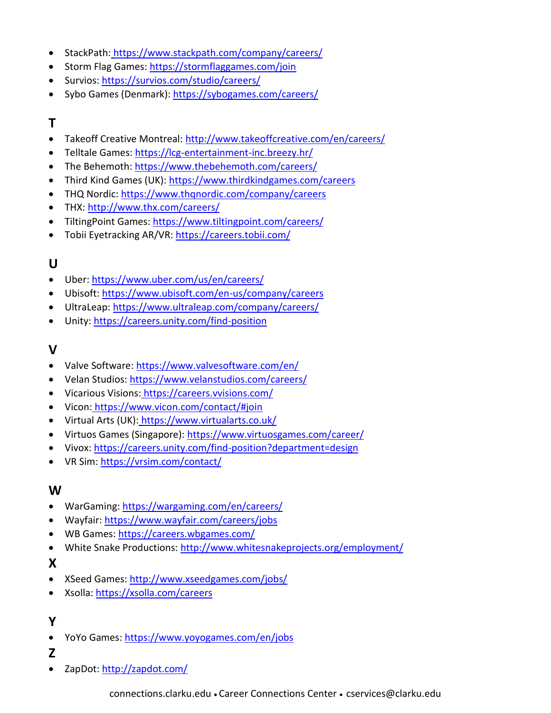- StackPath: <https://www.stackpath.com/company/careers/>
- Storm Flag Games:<https://stormflaggames.com/join>
- Survios:<https://survios.com/studio/careers/>
- Sybo Games (Denmark):<https://sybogames.com/careers/>

## **T**

- Takeoff Creative Montreal:<http://www.takeoffcreative.com/en/careers/>
- Telltale Games:<https://lcg-entertainment-inc.breezy.hr/>
- The Behemoth:<https://www.thebehemoth.com/careers/>
- Third Kind Games (UK):<https://www.thirdkindgames.com/careers>
- THQ Nordic: <https://www.thqnordic.com/company/careers>
- THX:<http://www.thx.com/careers/>
- TiltingPoint Games:<https://www.tiltingpoint.com/careers/>
- Tobii Eyetracking AR/VR:<https://careers.tobii.com/>

### **U**

- Uber:<https://www.uber.com/us/en/careers/>
- Ubisoft:<https://www.ubisoft.com/en-us/company/careers>
- UltraLeap:<https://www.ultraleap.com/company/careers/>
- Unity:<https://careers.unity.com/find-position>

#### **V**

- Valve Software:<https://www.valvesoftware.com/en/>
- Velan Studios:<https://www.velanstudios.com/careers/>
- Vicarious Visions: <https://careers.vvisions.com/>
- Vicon: <https://www.vicon.com/contact/#join>
- Virtual Arts (UK): <https://www.virtualarts.co.uk/>
- Virtuos Games (Singapore):<https://www.virtuosgames.com/career/>
- Vivox:<https://careers.unity.com/find-position?department=design>
- VR Sim:<https://vrsim.com/contact/>

#### **W**

- WarGaming:<https://wargaming.com/en/careers/>
- Wayfair:<https://www.wayfair.com/careers/jobs>
- WB Games:<https://careers.wbgames.com/>
- White Snake Productions:<http://www.whitesnakeprojects.org/employment/>

#### **X**

- XSeed Games:<http://www.xseedgames.com/jobs/>
- Xsolla:<https://xsolla.com/careers>

#### **Y**

- YoYo Games:<https://www.yoyogames.com/en/jobs>
- **Z**
- ZapDot:<http://zapdot.com/>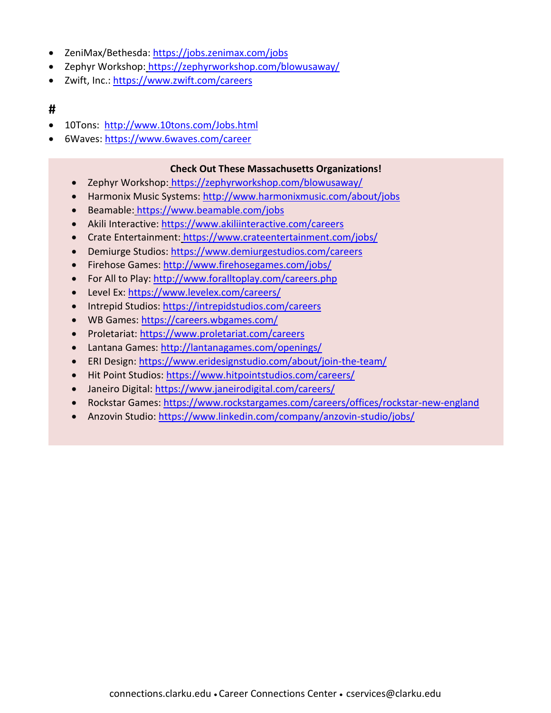- ZeniMax/Bethesda:<https://jobs.zenimax.com/jobs>
- Zephyr Workshop: <https://zephyrworkshop.com/blowusaway/>
- Zwift, Inc.[: https://www.zwift.com/careers](https://www.zwift.com/careers)

#### **#**

- 10Tons: <http://www.10tons.com/Jobs.html>
- 6Waves:<https://www.6waves.com/career>

#### **Check Out These Massachusetts Organizations!**

- Zephyr Workshop: [https://zephyrworkshop.com/blowusaway/](hettps://zephyrworkshop.com/blowusaway/)
- Harmonix Music Systems:<http://www.harmonixmusic.com/about/jobs>
- Beamable: [https://www.beamable.com/jobs](heamttps://www.beamable.com/jobs)
- Akili Interactive:<https://www.akiliinteractive.com/careers>
- Crate Entertainment: [https://www.crateentertainment.com/jobs/](hrtttps://www.crateentertainment.com/jobs/)
- Demiurge Studios:<https://www.demiurgestudios.com/careers>
- Firehose Games:<http://www.firehosegames.com/jobs/>
- For All to Play:<http://www.foralltoplay.com/careers.php>
- Level Ex:<https://www.levelex.com/careers/>
- [Intrepid Studios: https://intrepidstudios.com/careers](hnttps://intrepidstudios.com/careers)
- WB Games:<https://careers.wbgames.com/>
- Proletariat:<https://www.proletariat.com/careers>
- Lantana Games:<http://lantanagames.com/openings/>
- ERI Design:<https://www.eridesignstudio.com/about/join-the-team/>
- Hit Point Studios:<https://www.hitpointstudios.com/careers/>
- Janeiro Digital:<https://www.janeirodigital.com/careers/>
- Rockstar Games:<https://www.rockstargames.com/careers/offices/rockstar-new-england>
- Anzovin Studio:<https://www.linkedin.com/company/anzovin-studio/jobs/>